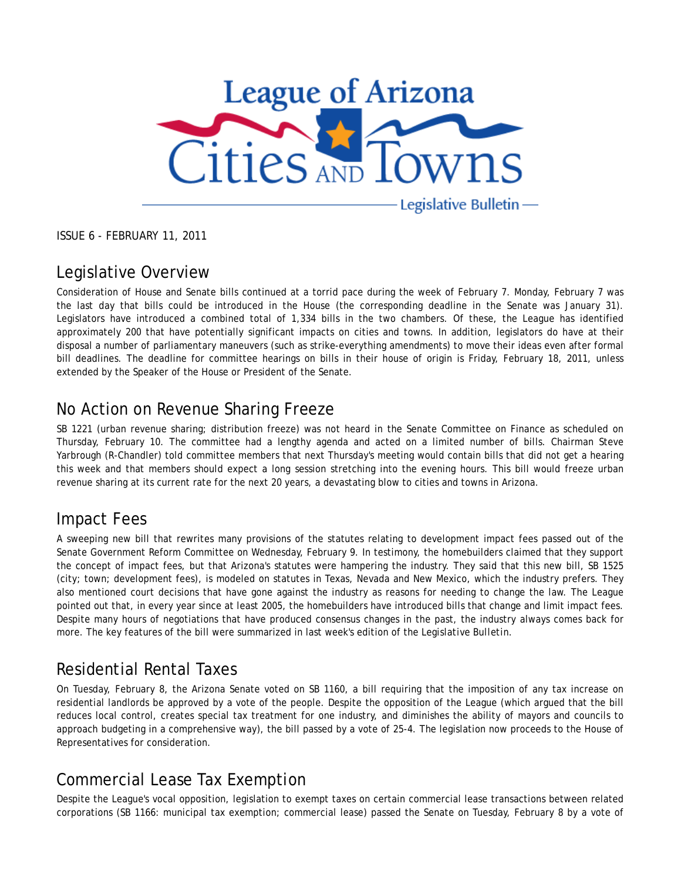

ISSUE 6 - FEBRUARY 11, 2011

#### Legislative Overview

Consideration of House and Senate bills continued at a torrid pace during the week of February 7. Monday, February 7 was the last day that bills could be introduced in the House (the corresponding deadline in the Senate was January 31). Legislators have introduced a combined total of 1,334 bills in the two chambers. Of these, the League has identified approximately 200 that have potentially significant impacts on cities and towns. In addition, legislators do have at their disposal a number of parliamentary maneuvers (such as strike-everything amendments) to move their ideas even after formal bill deadlines. The deadline for committee hearings on bills in their house of origin is Friday, February 18, 2011, unless extended by the Speaker of the House or President of the Senate.

#### No Action on Revenue Sharing Freeze

SB 1221 (urban revenue sharing; distribution freeze) was not heard in the Senate Committee on Finance as scheduled on Thursday, February 10. The committee had a lengthy agenda and acted on a limited number of bills. Chairman Steve Yarbrough (R-Chandler) told committee members that next Thursday's meeting would contain bills that did not get a hearing this week and that members should expect a long session stretching into the evening hours. This bill would freeze urban revenue sharing at its current rate for the next 20 years, a devastating blow to cities and towns in Arizona.

#### Impact Fees

A sweeping new bill that rewrites many provisions of the statutes relating to development impact fees passed out of the Senate Government Reform Committee on Wednesday, February 9. In testimony, the homebuilders claimed that they support the concept of impact fees, but that Arizona's statutes were hampering the industry. They said that this new bill, SB 1525 (city; town; development fees), is modeled on statutes in Texas, Nevada and New Mexico, which the industry prefers. They also mentioned court decisions that have gone against the industry as reasons for needing to change the law. The League pointed out that, in every year since at least 2005, the homebuilders have introduced bills that change and limit impact fees. Despite many hours of negotiations that have produced consensus changes in the past, the industry always comes back for more. The key features of the bill were summarized in last week's edition of the *Legislative Bulletin*.

### Residential Rental Taxes

On Tuesday, February 8, the Arizona Senate voted on SB 1160, a bill requiring that the imposition of any tax increase on residential landlords be approved by a vote of the people. Despite the opposition of the League (which argued that the bill reduces local control, creates special tax treatment for one industry, and diminishes the ability of mayors and councils to approach budgeting in a comprehensive way), the bill passed by a vote of 25-4. The legislation now proceeds to the House of Representatives for consideration.

### Commercial Lease Tax Exemption

Despite the League's vocal opposition, legislation to exempt taxes on certain commercial lease transactions between related corporations (SB 1166: municipal tax exemption; commercial lease) passed the Senate on Tuesday, February 8 by a vote of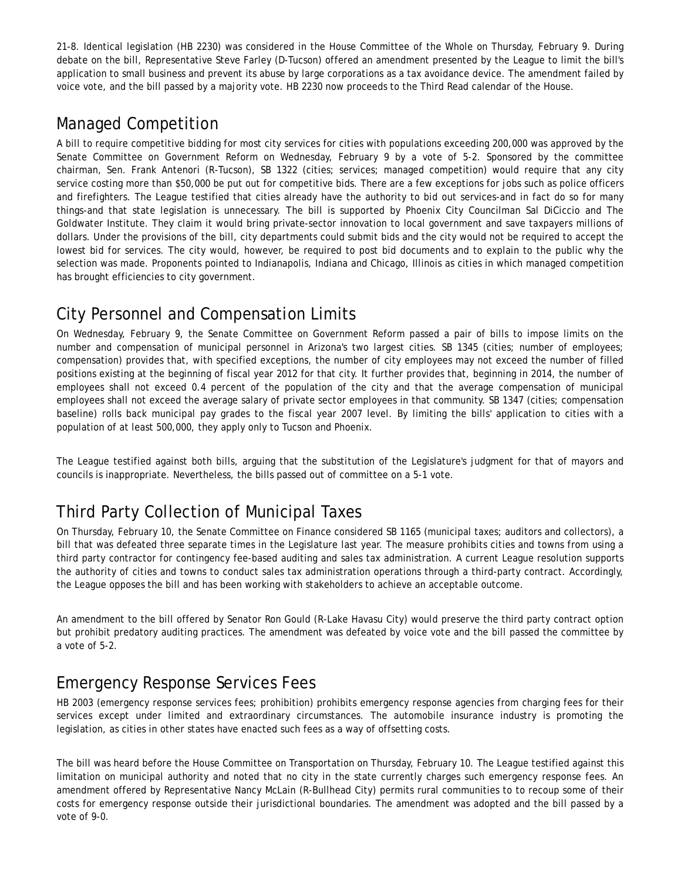21-8. Identical legislation (HB 2230) was considered in the House Committee of the Whole on Thursday, February 9. During debate on the bill, Representative Steve Farley (D-Tucson) offered an amendment presented by the League to limit the bill's application to small business and prevent its abuse by large corporations as a tax avoidance device. The amendment failed by voice vote, and the bill passed by a majority vote. HB 2230 now proceeds to the Third Read calendar of the House.

## Managed Competition

A bill to require competitive bidding for most city services for cities with populations exceeding 200,000 was approved by the Senate Committee on Government Reform on Wednesday, February 9 by a vote of 5-2. Sponsored by the committee chairman, Sen. Frank Antenori (R-Tucson), SB 1322 (cities; services; managed competition) would require that any city service costing more than \$50,000 be put out for competitive bids. There are a few exceptions for jobs such as police officers and firefighters. The League testified that cities already have the authority to bid out services-and in fact do so for many things-and that state legislation is unnecessary. The bill is supported by Phoenix City Councilman Sal DiCiccio and The Goldwater Institute. They claim it would bring private-sector innovation to local government and save taxpayers millions of dollars. Under the provisions of the bill, city departments could submit bids and the city would not be required to accept the lowest bid for services. The city would, however, be required to post bid documents and to explain to the public why the selection was made. Proponents pointed to Indianapolis, Indiana and Chicago, Illinois as cities in which managed competition has brought efficiencies to city government.

# City Personnel and Compensation Limits

On Wednesday, February 9, the Senate Committee on Government Reform passed a pair of bills to impose limits on the number and compensation of municipal personnel in Arizona's two largest cities. SB 1345 (cities; number of employees; compensation) provides that, with specified exceptions, the number of city employees may not exceed the number of filled positions existing at the beginning of fiscal year 2012 for that city. It further provides that, beginning in 2014, the number of employees shall not exceed 0.4 percent of the population of the city *and* that the average compensation of municipal employees shall not exceed the average salary of private sector employees in that community. SB 1347 (cities; compensation baseline) rolls back municipal pay grades to the fiscal year 2007 level. By limiting the bills' application to cities with a population of at least 500,000, they apply only to Tucson and Phoenix.

The League testified against both bills, arguing that the substitution of the Legislature's judgment for that of mayors and councils is inappropriate. Nevertheless, the bills passed out of committee on a 5-1 vote.

# Third Party Collection of Municipal Taxes

On Thursday, February 10, the Senate Committee on Finance considered SB 1165 (municipal taxes; auditors and collectors), a bill that was defeated three separate times in the Legislature last year. The measure prohibits cities and towns from using a third party contractor for contingency fee-based auditing and sales tax administration. A current League resolution supports the authority of cities and towns to conduct sales tax administration operations through a third-party contract. Accordingly, the League opposes the bill and has been working with stakeholders to achieve an acceptable outcome.

An amendment to the bill offered by Senator Ron Gould (R-Lake Havasu City) would preserve the third party contract option but prohibit predatory auditing practices. The amendment was defeated by voice vote and the bill passed the committee by a vote of 5-2.

## Emergency Response Services Fees

HB 2003 (emergency response services fees; prohibition) prohibits emergency response agencies from charging fees for their services except under limited and extraordinary circumstances. The automobile insurance industry is promoting the legislation, as cities in other states have enacted such fees as a way of offsetting costs.

The bill was heard before the House Committee on Transportation on Thursday, February 10. The League testified against this limitation on municipal authority and noted that no city in the state currently charges such emergency response fees. An amendment offered by Representative Nancy McLain (R-Bullhead City) permits rural communities to to recoup some of their costs for emergency response outside their jurisdictional boundaries. The amendment was adopted and the bill passed by a vote of 9-0.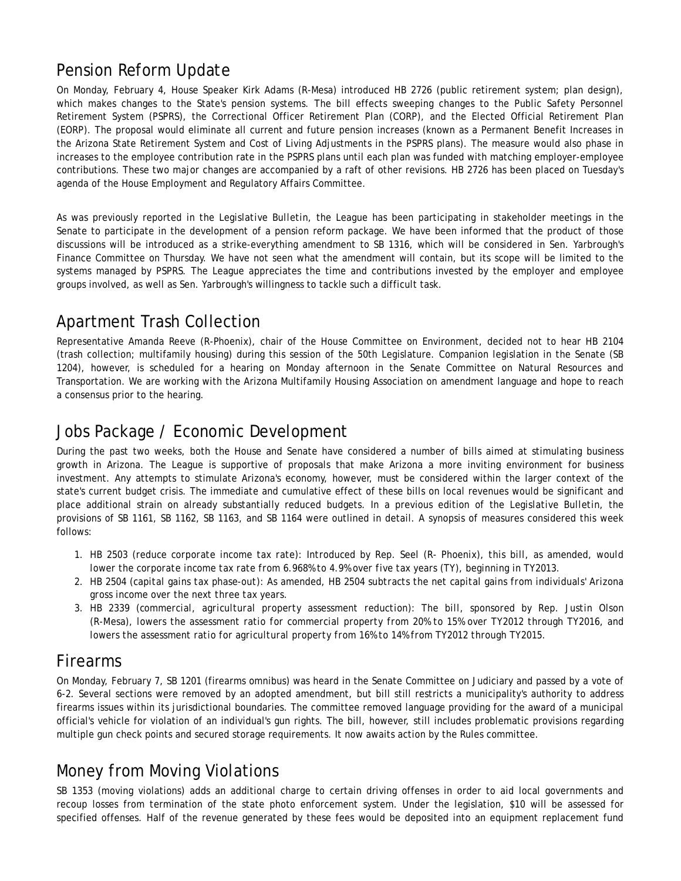#### Pension Reform Update

On Monday, February 4, House Speaker Kirk Adams (R-Mesa) introduced HB 2726 (public retirement system; plan design), which makes changes to the State's pension systems. The bill effects sweeping changes to the Public Safety Personnel Retirement System (PSPRS), the Correctional Officer Retirement Plan (CORP), and the Elected Official Retirement Plan (EORP). The proposal would eliminate all current and future pension increases (known as a Permanent Benefit Increases in the Arizona State Retirement System and Cost of Living Adjustments in the PSPRS plans). The measure would also phase in increases to the employee contribution rate in the PSPRS plans until each plan was funded with matching employer-employee contributions. These two major changes are accompanied by a raft of other revisions. HB 2726 has been placed on Tuesday's agenda of the House Employment and Regulatory Affairs Committee.

As was previously reported in the *Legislative Bulletin*, the League has been participating in stakeholder meetings in the Senate to participate in the development of a pension reform package. We have been informed that the product of those discussions will be introduced as a strike-everything amendment to SB 1316, which will be considered in Sen. Yarbrough's Finance Committee on Thursday. We have not seen what the amendment will contain, but its scope will be limited to the systems managed by PSPRS. The League appreciates the time and contributions invested by the employer and employee groups involved, as well as Sen. Yarbrough's willingness to tackle such a difficult task.

#### Apartment Trash Collection

Representative Amanda Reeve (R-Phoenix), chair of the House Committee on Environment, decided not to hear HB 2104 (trash collection; multifamily housing) during this session of the 50th Legislature. Companion legislation in the Senate (SB 1204), however, is scheduled for a hearing on Monday afternoon in the Senate Committee on Natural Resources and Transportation. We are working with the Arizona Multifamily Housing Association on amendment language and hope to reach a consensus prior to the hearing.

#### Jobs Package / Economic Development

During the past two weeks, both the House and Senate have considered a number of bills aimed at stimulating business growth in Arizona. The League is supportive of proposals that make Arizona a more inviting environment for business investment. Any attempts to stimulate Arizona's economy, however, must be considered within the larger context of the state's current budget crisis. The immediate and cumulative effect of these bills on local revenues would be significant and place additional strain on already substantially reduced budgets. In a previous edition of the *Legislative Bulletin*, the provisions of SB 1161, SB 1162, SB 1163, and SB 1164 were outlined in detail. A synopsis of measures considered this week follows:

- 1. HB 2503 (reduce corporate income tax rate): Introduced by Rep. Seel (R- Phoenix), this bill, as amended, would *lower the corporate income tax rate from 6.968% to 4.9% over five tax years (TY), beginning in TY2013.*
- *HB 2504 (capital gains tax phase-out): As amended, HB 2504 subtracts the net capital gains from individuals' Arizona 2. gross income over the next three tax years.*
- *HB 2339 (commercial, agricultural property assessment reduction): The bill, sponsored by Rep. Justin Olson 3. (R-Mesa), lowers the assessment ratio for commercial property from 20% to 15% over TY2012 through TY2016, and lowers the assessment ratio for agricultural property from 16% to 14% from TY2012 through TY2015.*

#### Firearms

On Monday, February 7, SB 1201 (firearms omnibus) was heard in the Senate Committee on Judiciary and passed by a vote of 6-2. Several sections were removed by an adopted amendment, but bill still restricts a municipality's authority to address firearms issues within its jurisdictional boundaries. The committee removed language providing for the award of a municipal official's vehicle for violation of an individual's gun rights. The bill, however, still includes problematic provisions regarding multiple gun check points and secured storage requirements. It now awaits action by the Rules committee.

### Money from Moving Violations

SB 1353 (moving violations) adds an additional charge to certain driving offenses in order to aid local governments and recoup losses from termination of the state photo enforcement system. Under the legislation, \$10 will be assessed for specified offenses. Half of the revenue generated by these fees would be deposited into an equipment replacement fund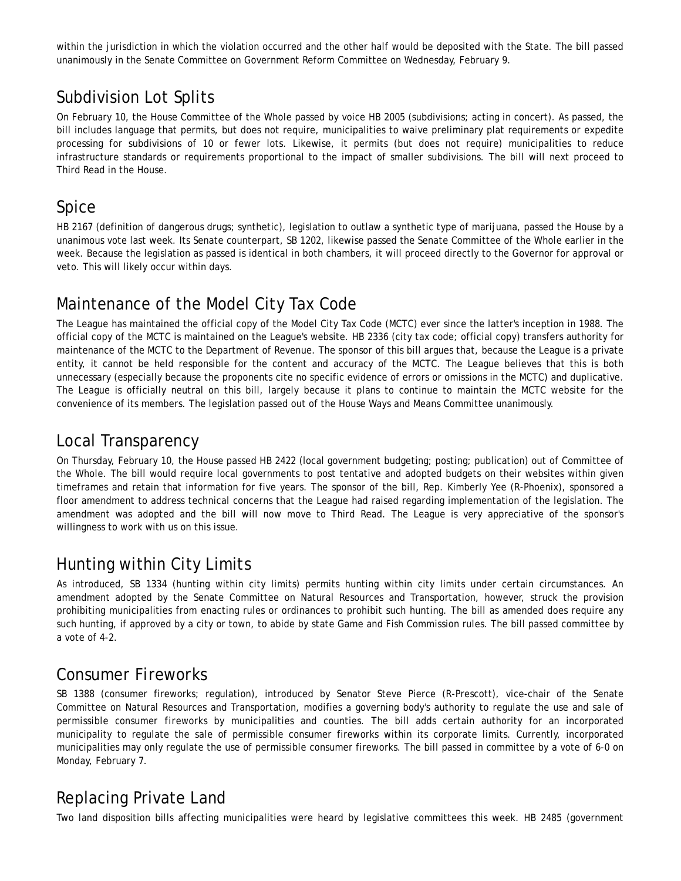within the jurisdiction in which the violation occurred and the other half would be deposited with the State. The bill passed unanimously in the Senate Committee on Government Reform Committee on Wednesday, February 9.

## Subdivision Lot Splits

On February 10, the House Committee of the Whole passed by voice HB 2005 (subdivisions; acting in concert). As passed, the bill includes language that permits, but does not require, municipalities to waive preliminary plat requirements or expedite processing for subdivisions of 10 or fewer lots. Likewise, it permits (but does not require) municipalities to reduce infrastructure standards or requirements proportional to the impact of smaller subdivisions. The bill will next proceed to Third Read in the House.

### Spice

HB 2167 (definition of dangerous drugs; synthetic), legislation to outlaw a synthetic type of marijuana, passed the House by a unanimous vote last week. Its Senate counterpart, SB 1202, likewise passed the Senate Committee of the Whole earlier in the week. Because the legislation as passed is identical in both chambers, it will proceed directly to the Governor for approval or veto. This will likely occur within days.

### Maintenance of the Model City Tax Code

The League has maintained the official copy of the Model City Tax Code (MCTC) ever since the latter's inception in 1988. The official copy of the MCTC is maintained on the League's website. HB 2336 (city tax code; official copy) transfers authority for maintenance of the MCTC to the Department of Revenue. The sponsor of this bill argues that, because the League is a private entity, it cannot be held responsible for the content and accuracy of the MCTC. The League believes that this is both unnecessary (especially because the proponents cite no specific evidence of errors or omissions in the MCTC) and duplicative. The League is officially neutral on this bill, largely because it plans to continue to maintain the MCTC website for the convenience of its members. The legislation passed out of the House Ways and Means Committee unanimously.

#### Local Transparency

On Thursday, February 10, the House passed HB 2422 (local government budgeting; posting; publication) out of Committee of the Whole. The bill would require local governments to post tentative and adopted budgets on their websites within given timeframes and retain that information for five years. The sponsor of the bill, Rep. Kimberly Yee (R-Phoenix), sponsored a floor amendment to address technical concerns that the League had raised regarding implementation of the legislation. The amendment was adopted and the bill will now move to Third Read. The League is very appreciative of the sponsor's willingness to work with us on this issue.

### Hunting within City Limits

As introduced, SB 1334 (hunting within city limits) permits hunting within city limits under certain circumstances. An amendment adopted by the Senate Committee on Natural Resources and Transportation, however, struck the provision prohibiting municipalities from enacting rules or ordinances to prohibit such hunting. The bill as amended does require any such hunting, if approved by a city or town, to abide by state Game and Fish Commission rules. The bill passed committee by a vote of 4-2.

### Consumer Fireworks

SB 1388 (consumer fireworks; regulation), introduced by Senator Steve Pierce (R-Prescott), vice-chair of the Senate Committee on Natural Resources and Transportation, modifies a governing body's authority to regulate the use and sale of *permissible consumer fireworks* by municipalities and counties. The bill adds certain authority for an incorporated municipality to regulate the *sale* of permissible consumer fireworks within its corporate limits. Currently, incorporated municipalities may only regulate the *use* of permissible consumer fireworks. The bill passed in committee by a vote of 6-0 on Monday, February 7.

## Replacing Private Land

Two land disposition bills affecting municipalities were heard by legislative committees this week. HB 2485 (government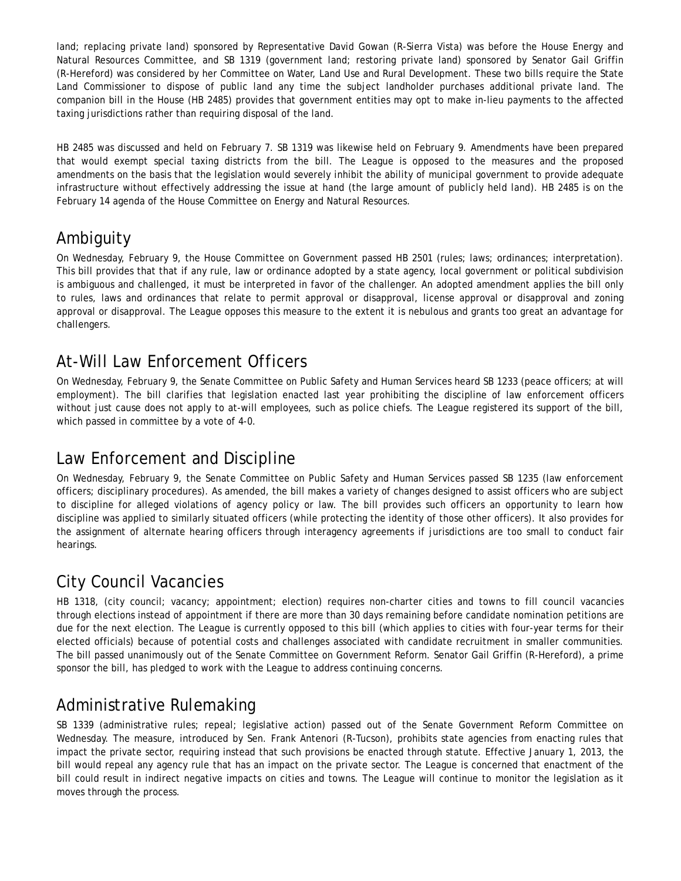land; replacing private land) sponsored by Representative David Gowan (R-Sierra Vista) was before the House Energy and Natural Resources Committee, and SB 1319 (government land; restoring private land) sponsored by Senator Gail Griffin (R-Hereford) was considered by her Committee on Water, Land Use and Rural Development. These two bills require the State Land Commissioner to dispose of public land any time the subject landholder purchases additional private land. The companion bill in the House (HB 2485) provides that government entities may opt to make in-lieu payments to the affected taxing jurisdictions rather than requiring disposal of the land.

HB 2485 was discussed and held on February 7. SB 1319 was likewise held on February 9. Amendments have been prepared that would exempt special taxing districts from the bill. The League is opposed to the measures and the proposed amendments on the basis that the legislation would severely inhibit the ability of municipal government to provide adequate infrastructure without effectively addressing the issue at hand (the large amount of publicly held land). HB 2485 is on the February 14 agenda of the House Committee on Energy and Natural Resources.

### Ambiguity

On Wednesday, February 9, the House Committee on Government passed HB 2501 (rules; laws; ordinances; interpretation). This bill provides that that if any rule, law or ordinance adopted by a state agency, local government or political subdivision is ambiguous and challenged, it must be interpreted in favor of the challenger. An adopted amendment applies the bill only to rules, laws and ordinances that relate to permit approval or disapproval, license approval or disapproval and zoning approval or disapproval. The League opposes this measure to the extent it is nebulous and grants too great an advantage for challengers.

## At-Will Law Enforcement Officers

On Wednesday, February 9, the Senate Committee on Public Safety and Human Services heard SB 1233 (peace officers; at will employment). The bill clarifies that legislation enacted last year prohibiting the discipline of law enforcement officers without just cause does not apply to at-will employees, such as police chiefs. The League registered its support of the bill, which passed in committee by a vote of 4-0.

#### Law Enforcement and Discipline

On Wednesday, February 9, the Senate Committee on Public Safety and Human Services passed SB 1235 (law enforcement officers; disciplinary procedures). As amended, the bill makes a variety of changes designed to assist officers who are subject to discipline for alleged violations of agency policy or law. The bill provides such officers an opportunity to learn how discipline was applied to similarly situated officers (while protecting the identity of those other officers). It also provides for the assignment of alternate hearing officers through interagency agreements if jurisdictions are too small to conduct fair hearings.

# City Council Vacancies

HB 1318, (city council; vacancy; appointment; election) requires non-charter cities and towns to fill council vacancies through elections instead of appointment if there are more than 30 days remaining before candidate nomination petitions are due for the next election. The League is currently opposed to this bill (which applies to cities with four-year terms for their elected officials) because of potential costs and challenges associated with candidate recruitment in smaller communities. The bill passed unanimously out of the Senate Committee on Government Reform. Senator Gail Griffin (R-Hereford), a prime sponsor the bill, has pledged to work with the League to address continuing concerns.

### Administrative Rulemaking

SB 1339 (administrative rules; repeal; legislative action) passed out of the Senate Government Reform Committee on Wednesday. The measure, introduced by Sen. Frank Antenori (R-Tucson), prohibits state agencies from enacting rules that impact the private sector, requiring instead that such provisions be enacted through statute. Effective January 1, 2013, the bill would repeal any agency rule that has an impact on the private sector. The League is concerned that enactment of the bill could result in indirect negative impacts on cities and towns. The League will continue to monitor the legislation as it moves through the process.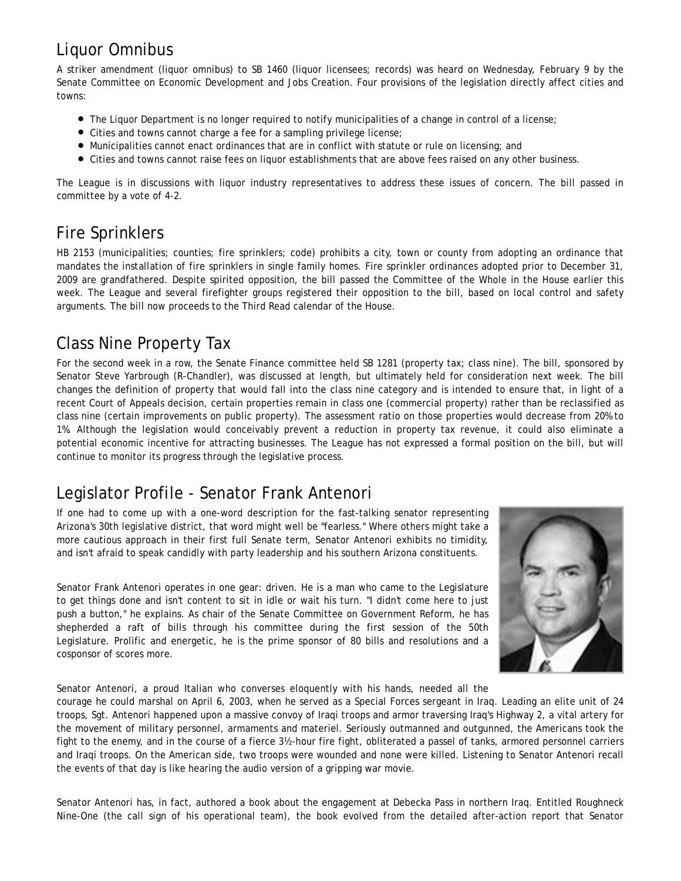## Liquor Omnibus

A striker amendment (liquor omnibus) to SB 1460 (liquor licensees; records) was heard on Wednesday, February 9 by the Senate Committee on Economic Development and Jobs Creation. Four provisions of the legislation directly affect cities and towns:

- The Liquor Department is no longer required to notify municipalities of a change in control of a license;
- Cities and towns cannot charge a fee for a sampling privilege license;
- Municipalities cannot enact ordinances that are in conflict with statute or rule on licensing; and
- Cities and towns cannot raise fees on liquor establishments that are above fees raised on any other business.

The League is in discussions with liquor industry representatives to address these issues of concern. The bill passed in committee by a vote of 4-2.

## Fire Sprinklers

HB 2153 (municipalities; counties; fire sprinklers; code) prohibits a city, town or county from adopting an ordinance that mandates the installation of fire sprinklers in single family homes. Fire sprinkler ordinances adopted prior to December 31, 2009 are grandfathered. Despite spirited opposition, the bill passed the Committee of the Whole in the House earlier this week. The League and several firefighter groups registered their opposition to the bill, based on local control and safety arguments. The bill now proceeds to the Third Read calendar of the House.

## Class Nine Property Tax

For the second week in a row, the Senate Finance committee held SB 1281 (property tax; class nine). The bill, sponsored by Senator Steve Yarbrough (R-Chandler), was discussed at length, but ultimately held for consideration next week. The bill changes the definition of property that would fall into the class nine category and is intended to ensure that, in light of a recent Court of Appeals decision, certain properties remain in class one (commercial property) rather than be reclassified as class nine (certain improvements on public property). The assessment ratio on those properties would decrease from 20% to 1%. Although the legislation would conceivably prevent a reduction in property tax revenue, it could also eliminate a potential economic incentive for attracting businesses. The League has not expressed a formal position on the bill, but will continue to monitor its progress through the legislative process.

#### Legislator Profile - Senator Frank Antenori

If one had to come up with a one-word description for the fast-talking senator representing Arizona's 30th legislative district, that word might well be "fearless." Where others might take a more cautious approach in their first full Senate term, Senator Antenori exhibits no timidity, and isn't afraid to speak candidly with party leadership and his southern Arizona constituents.

Senator Frank Antenori operates in one gear: driven. He is a man who came to the Legislature to get things done and isn't content to sit in idle or wait his turn. "I didn't come here to just push a button," he explains. As chair of the Senate Committee on Government Reform, he has shepherded a raft of bills through his committee during the first session of the 50th Legislature. Prolific and energetic, he is the prime sponsor of 80 bills and resolutions and a cosponsor of scores more.



Senator Antenori, a proud Italian who converses eloquently with his hands, needed all the

courage he could marshal on April 6, 2003, when he served as a Special Forces sergeant in Iraq. Leading an elite unit of 24 troops, Sgt. Antenori happened upon a massive convoy of Iraqi troops and armor traversing Iraq's Highway 2, a vital artery for the movement of military personnel, armaments and materiel. Seriously outmanned and outgunned, the Americans took the fight to the enemy, and in the course of a fierce 3½-hour fire fight, obliterated a passel of tanks, armored personnel carriers and Iraqi troops. On the American side, two troops were wounded and none were killed. Listening to Senator Antenori recall the events of that day is like hearing the audio version of a gripping war movie.

Senator Antenori has, in fact, authored a book about the engagement at Debecka Pass in northern Iraq. Entitled *Roughneck Nine-One* (the call sign of his operational team), the book evolved from the detailed after-action report that Senator